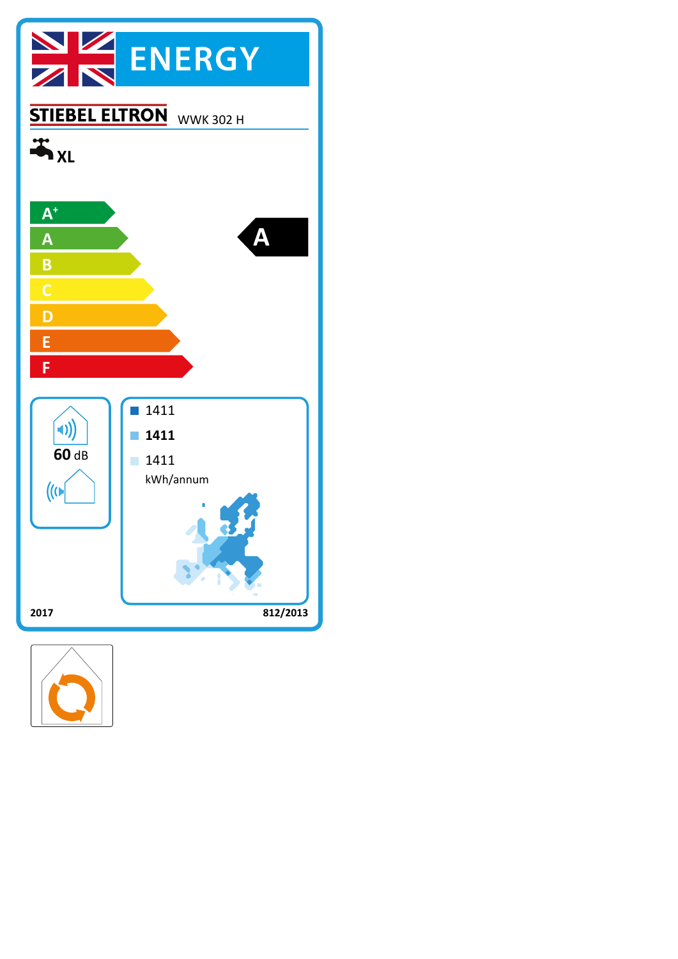